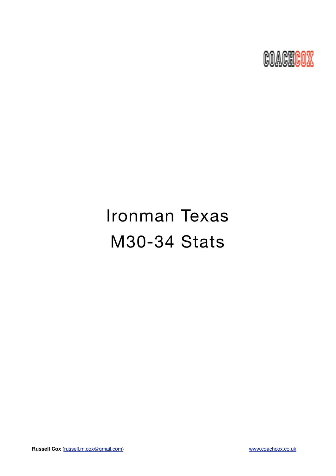

# Ironman Texas M30-34 Stats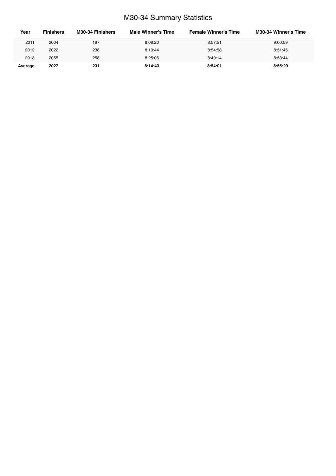# M30-34 Summary Statistics

| Year    | <b>Finishers</b> | M30-34 Finishers | Male Winner's Time | <b>Female Winner's Time</b> | <b>M30-34 Winner's Time</b> |
|---------|------------------|------------------|--------------------|-----------------------------|-----------------------------|
| 2011    | 2004             | 197              | 8:08:20            | 8:57:51                     | 9:00:59                     |
| 2012    | 2022             | 238              | 8:10:44            | 8:54:58                     | 8:51:45                     |
| 2013    | 2055             | 258              | 8:25:06            | 8:49:14                     | 8:53:44                     |
| Average | 2027             | 231              | 8:14:43            | 8:54:01                     | 8:55:29                     |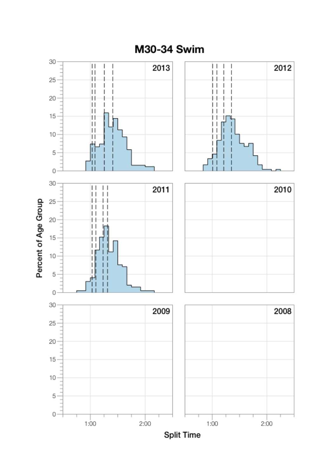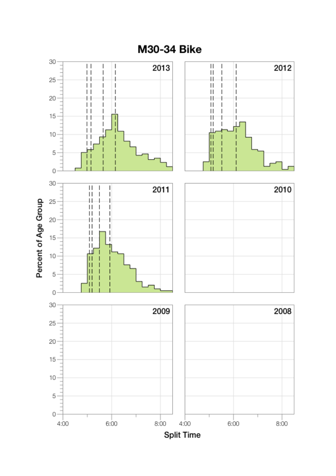

M30-34 Bike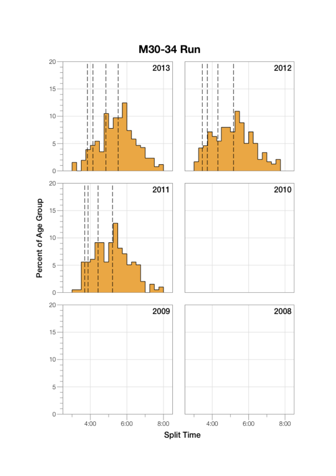

M30-34 Run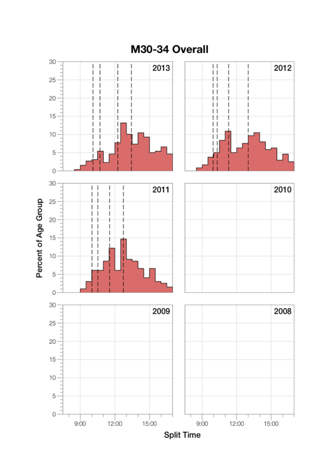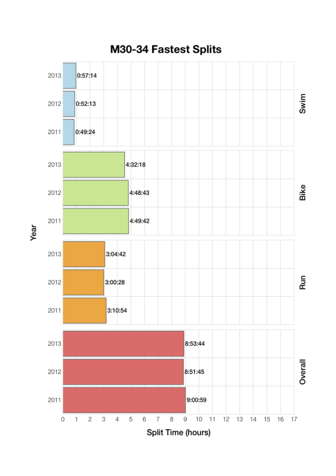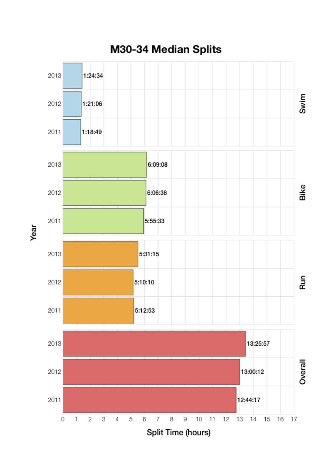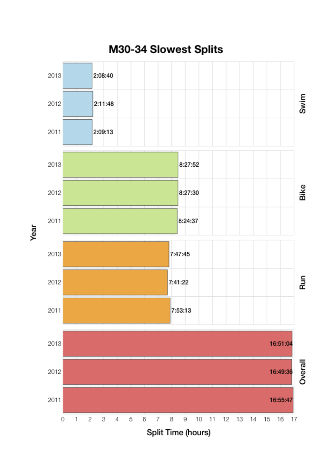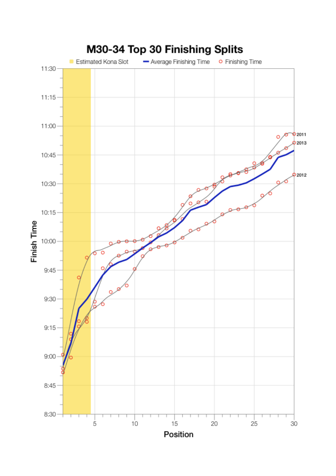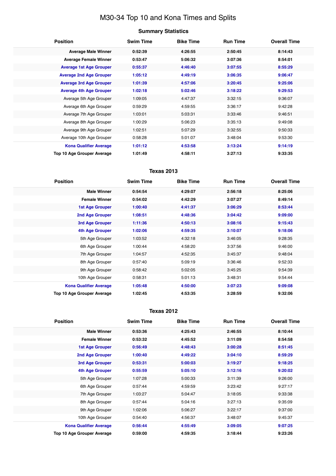# M30-34 Top 10 and Kona Times and Splits

## **Summary Statistics**

| <b>Position</b>                | <b>Swim Time</b> | <b>Bike Time</b> | <b>Run Time</b> | <b>Overall Time</b> |
|--------------------------------|------------------|------------------|-----------------|---------------------|
| <b>Average Male Winner</b>     | 0:52:39          | 4:26:55          | 2:50:45         | 8:14:43             |
| <b>Average Female Winner</b>   | 0:53:47          | 5:06:32          | 3:07:36         | 8:54:01             |
| <b>Average 1st Age Grouper</b> | 0:55:37          | 4:46:40          | 3:07:55         | 8:55:29             |
| <b>Average 2nd Age Grouper</b> | 1:05:12          | 4:49:19          | 3:06:35         | 9:06:47             |
| <b>Average 3rd Age Grouper</b> | 1:01:39          | 4:57:06          | 3:20:45         | 9:25:06             |
| <b>Average 4th Age Grouper</b> | 1:02:18          | 5:02:46          | 3:18:22         | 9:29:53             |
| Average 5th Age Grouper        | 1:09:05          | 4:47:37          | 3:32:15         | 9:36:07             |
| Average 6th Age Grouper        | 0:59:29          | 4:59:55          | 3:36:17         | 9:42:28             |
| Average 7th Age Grouper        | 1:03:01          | 5:03:31          | 3:33:46         | 9:46:51             |
| Average 8th Age Grouper        | 1:00:29          | 5:06:23          | 3:35:13         | 9:49:08             |
| Average 9th Age Grouper        | 1:02:51          | 5:07:29          | 3:32:55         | 9:50:33             |
| Average 10th Age Grouper       | 0:58:28          | 5:01:07          | 3:48:04         | 9:53:30             |
| <b>Kona Qualifier Average</b>  | 1:01:12          | 4:53:58          | 3:13:24         | 9:14:19             |
| Top 10 Age Grouper Average     | 1:01:49          | 4:58:11          | 3:27:13         | 9:33:35             |

## **Texas 2013**

| <b>Position</b>               | <b>Swim Time</b> | <b>Bike Time</b> | <b>Run Time</b> | <b>Overall Time</b> |
|-------------------------------|------------------|------------------|-----------------|---------------------|
| <b>Male Winner</b>            | 0:54:54          | 4:29:07          | 2:56:18         | 8:25:06             |
| <b>Female Winner</b>          | 0:54:02          | 4:42:29          | 3:07:27         | 8:49:14             |
| <b>1st Age Grouper</b>        | 1:00:40          | 4:41:37          | 3:06:29         | 8:53:44             |
| 2nd Age Grouper               | 1:08:51          | 4:48:36          | 3:04:42         | 9:09:00             |
| 3rd Age Grouper               | 1:11:36          | 4:50:13          | 3:08:16         | 9:15:43             |
| 4th Age Grouper               | 1:02:06          | 4:59:35          | 3:10:07         | 9:18:06             |
| 5th Age Grouper               | 1:03:52          | 4:32:18          | 3:46:05         | 9:28:35             |
| 6th Age Grouper               | 1:00:44          | 4:58:20          | 3:37:56         | 9:46:00             |
| 7th Age Grouper               | 1:04:57          | 4:52:35          | 3:45:37         | 9:48:04             |
| 8th Age Grouper               | 0:57:40          | 5:09:19          | 3:36:46         | 9:52:33             |
| 9th Age Grouper               | 0:58:42          | 5:02:05          | 3:45:25         | 9:54:39             |
| 10th Age Grouper              | 0:58:31          | 5:01:13          | 3:48:31         | 9:54:44             |
| <b>Kona Qualifier Average</b> | 1:05:48          | 4:50:00          | 3:07:23         | 9:09:08             |
| Top 10 Age Grouper Average    | 1:02:45          | 4:53:35          | 3:28:59         | 9:32:06             |

#### **Texas 2012**

| <b>Position</b>                   | <b>Swim Time</b> | <b>Bike Time</b> | <b>Run Time</b> | <b>Overall Time</b> |
|-----------------------------------|------------------|------------------|-----------------|---------------------|
| <b>Male Winner</b>                | 0:53:36          | 4:25:43          | 2:46:55         | 8:10:44             |
| <b>Female Winner</b>              | 0:53:32          | 4:45:52          | 3:11:09         | 8:54:58             |
| <b>1st Age Grouper</b>            | 0:56:49          | 4:48:43          | 3:00:28         | 8:51:45             |
| <b>2nd Age Grouper</b>            | 1:00:40          | 4:49:22          | 3:04:10         | 8:59:29             |
| 3rd Age Grouper                   | 0:53:31          | 5:00:03          | 3:19:27         | 9:18:25             |
| <b>4th Age Grouper</b>            | 0:55:59          | 5:05:10          | 3:12:16         | 9:20:02             |
| 5th Age Grouper                   | 1:07:28          | 5:00:33          | 3:11:39         | 9:26:00             |
| 6th Age Grouper                   | 0:57:44          | 4:59:59          | 3:23:42         | 9:27:17             |
| 7th Age Grouper                   | 1:03:27          | 5:04:47          | 3:18:05         | 9:33:38             |
| 8th Age Grouper                   | 0:57:44          | 5:04:16          | 3:27:13         | 9:35:09             |
| 9th Age Grouper                   | 1:02:06          | 5:06:27          | 3:22:17         | 9:37:00             |
| 10th Age Grouper                  | 0:54:40          | 4:56:37          | 3:48:07         | 9:45:37             |
| <b>Kona Qualifier Average</b>     | 0:56:44          | 4:55:49          | 3:09:05         | 9:07:25             |
| <b>Top 10 Age Grouper Average</b> | 0:59:00          | 4:59:35          | 3:18:44         | 9:23:26             |